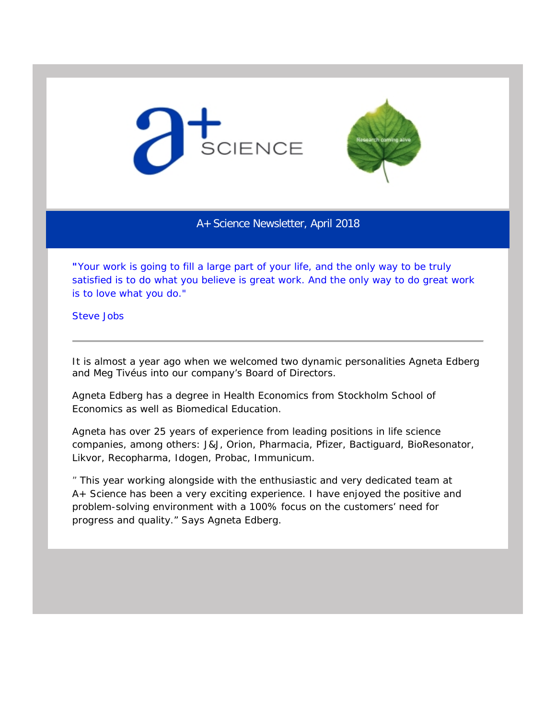



A+ Science Newsletter, April 2018

*"Your work is going to fill a large part of your life, and the only way to be truly satisfied is to do what you believe is great work. And the only way to do great work is to love what you do."* 

Steve Jobs

It is almost a year ago when we welcomed two dynamic personalities Agneta Edberg and Meg Tivéus into our company's Board of Directors.

Agneta Edberg has a degree in Health Economics from Stockholm School of Economics as well as Biomedical Education.

Agneta has over 25 years of experience from leading positions in life science companies, among others: J&J, Orion, Pharmacia, Pfizer, Bactiguard, BioResonator, Likvor, Recopharma, Idogen, Probac, Immunicum.

*" This year working alongside with the enthusiastic and very dedicated team at A+ Science has been a very exciting experience. I have enjoyed the positive and problem-solving environment with a 100% focus on the customers' need for progress and quality."* Says Agneta Edberg.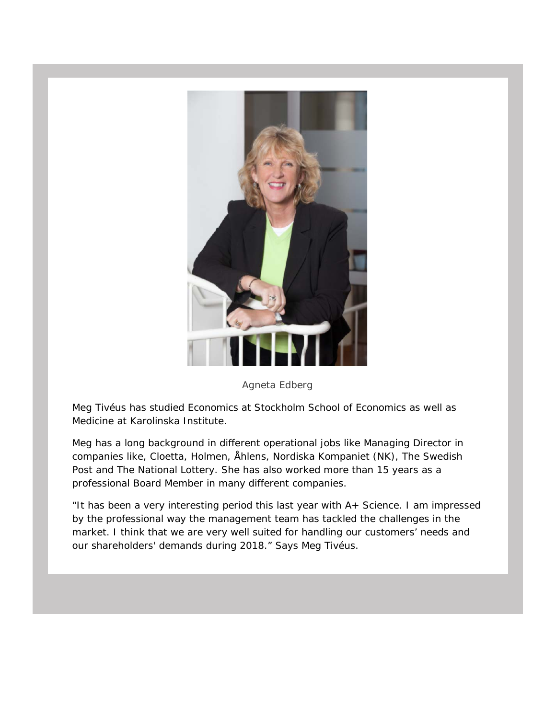

Agneta Edberg

Meg Tivéus has studied Economics at Stockholm School of Economics as well as Medicine at Karolinska Institute.

Meg has a long background in different operational jobs like Managing Director in companies like, Cloetta, Holmen, Åhlens, Nordiska Kompaniet (NK), The Swedish Post and The National Lottery. She has also worked more than 15 years as a professional Board Member in many different companies.

*"It has been a very interesting period this last year with A+ Science. I am impressed by the professional way the management team has tackled the challenges in the market. I think that we are very well suited for handling our customers' needs and our shareholders' demands during 2018."* Says Meg Tivéus.